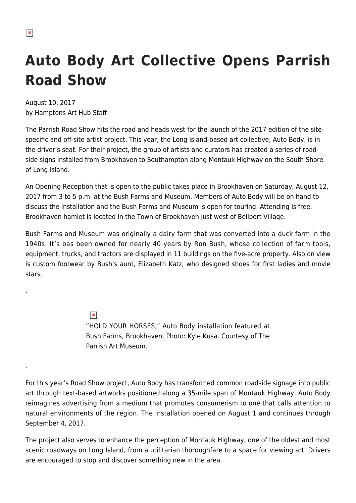.

.

## **Auto Body Art Collective Opens Parrish Road Show**

August 10, 2017 by Hamptons Art Hub Staff

The Parrish Road Show hits the road and heads west for the launch of the 2017 edition of the sitespecific and off-site artist project. This year, the Long Island-based art collective, Auto Body, is in the driver's seat. For their project, the group of artists and curators has created a series of roadside signs installed from Brookhaven to Southampton along Montauk Highway on the South Shore of Long Island.

An Opening Reception that is open to the public takes place in Brookhaven on Saturday, August 12, 2017 from 3 to 5 p.m. at the Bush Farms and Museum. Members of Auto Body will be on hand to discuss the installation and the Bush Farms and Museum is open for touring. Attending is free. Brookhaven hamlet is located in the Town of Brookhaven just west of Bellport Village.

Bush Farms and Museum was originally a dairy farm that was converted into a duck farm in the 1940s. It's bas been owned for nearly 40 years by Ron Bush, whose collection of farm tools, equipment, trucks, and tractors are displayed in 11 buildings on the five-acre property. Also on view is custom footwear by Bush's aunt, Elizabeth Katz, who designed shoes for first ladies and movie stars.

> $\pmb{\times}$ "HOLD YOUR HORSES," Auto Body installation featured at Bush Farms, Brookhaven. Photo: Kyle Kusa. Courtesy of The Parrish Art Museum.

For this year's Road Show project, Auto Body has transformed common roadside signage into public art through text-based artworks positioned along a 35-mile span of Montauk Highway. Auto Body reimagines advertising from a medium that promotes consumerism to one that calls attention to natural environments of the region. The installation opened on August 1 and continues through September 4, 2017.

The project also serves to enhance the perception of Montauk Highway, one of the oldest and most scenic roadways on Long Island, from a utilitarian thoroughfare to a space for viewing art. Drivers are encouraged to stop and discover something new in the area.